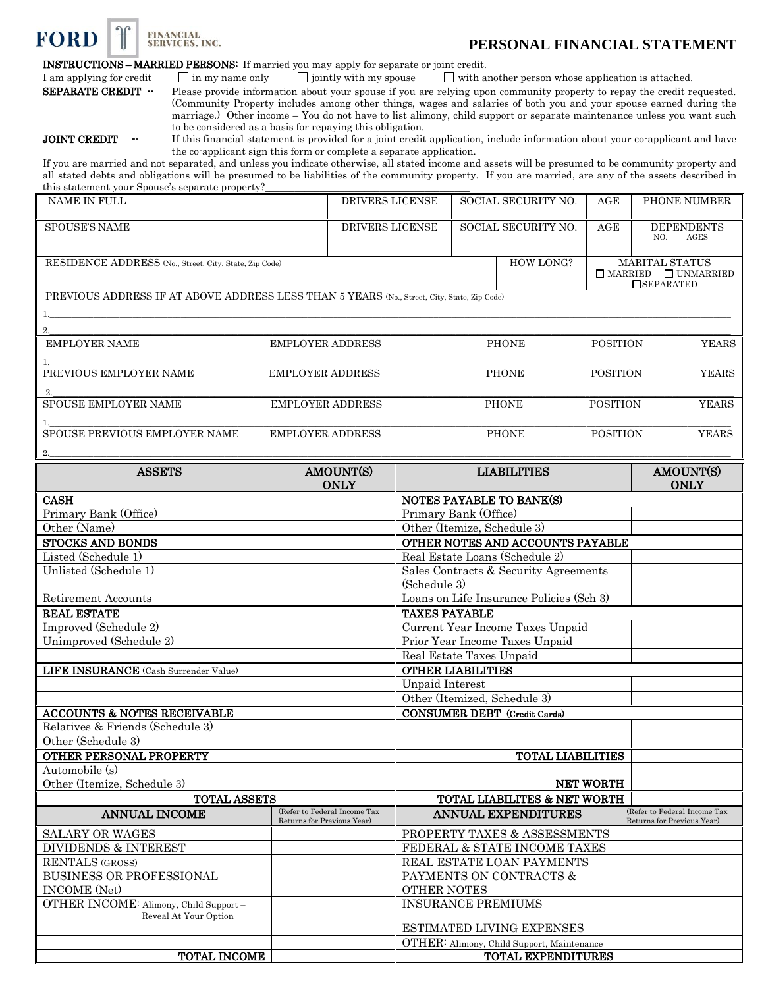

## **PERSONAL FINANCIAL STATEMENT**

INSTRUCTIONS – MARRIED PERSONS: If married you may apply for separate or joint credit.

I am applying for credit  $\Box$  in my name only  $\Box$  jointly with my spouse  $\Box$  with another person whose application is attached.

**SEPARATE CREDIT** -- Please provide information about your spouse if you are relying upon community property to repay the credit requested. (Community Property includes among other things, wages and salaries of both you and your spouse earned during the marriage.) Other income – You do not have to list alimony, child support or separate maintenance unless you want such to be considered as a basis for repaying this obligation.

JOINT CREDIT -- If this financial statement is provided for a joint credit application, include information about your co-applicant and have the co-applicant sign this form or complete a separate application.

If you are married and not separated, and unless you indicate otherwise, all stated income and assets will be presumed to be community property and all stated debts and obligations will be presumed to be liabilities of the community property. If you are married, are any of the assets described in this statement your Spouse's separate property?

| NAME IN FULL                                                                                | DRIVERS LICENSE         | SOCIAL SECURITY NO. | AGE             | PHONE NUMBER                                                                 |
|---------------------------------------------------------------------------------------------|-------------------------|---------------------|-----------------|------------------------------------------------------------------------------|
| <b>SPOUSE'S NAME</b>                                                                        | <b>DRIVERS LICENSE</b>  | SOCIAL SECURITY NO. | AGE             | <b>DEPENDENTS</b><br>AGES<br>NO.                                             |
| RESIDENCE ADDRESS (No., Street, City, State, Zip Code)                                      |                         | <b>HOW LONG?</b>    |                 | <b>MARITAL STATUS</b><br>$\Box$ MARRIED $\Box$ UNMARRIED<br>$\Box$ SEPARATED |
| PREVIOUS ADDRESS IF AT ABOVE ADDRESS LESS THAN 5 YEARS (No., Street, City, State, Zip Code) |                         |                     |                 |                                                                              |
|                                                                                             |                         |                     |                 |                                                                              |
|                                                                                             |                         |                     |                 |                                                                              |
| <b>EMPLOYER NAME</b>                                                                        | <b>EMPLOYER ADDRESS</b> | <b>PHONE</b>        | <b>POSITION</b> | <b>YEARS</b>                                                                 |
|                                                                                             |                         |                     |                 |                                                                              |
| PREVIOUS EMPLOYER NAME                                                                      | <b>EMPLOYER ADDRESS</b> | <b>PHONE</b>        | <b>POSITION</b> | <b>YEARS</b>                                                                 |
| 2.                                                                                          |                         |                     |                 |                                                                              |
| <b>SPOUSE EMPLOYER NAME</b>                                                                 | <b>EMPLOYER ADDRESS</b> | <b>PHONE</b>        | <b>POSITION</b> | <b>YEARS</b>                                                                 |
|                                                                                             |                         |                     |                 |                                                                              |
| SPOUSE PREVIOUS EMPLOYER NAME                                                               | <b>EMPLOYER ADDRESS</b> | <b>PHONE</b>        | <b>POSITION</b> | <b>YEARS</b>                                                                 |
| 2.                                                                                          |                         |                     |                 |                                                                              |

| <b>ASSETS</b>                                                   | AMOUNT(S)<br><b>ONLY</b>                                   | <b>LIABILITIES</b>                         | AMOUNT(S)<br><b>ONLY</b>                                   |
|-----------------------------------------------------------------|------------------------------------------------------------|--------------------------------------------|------------------------------------------------------------|
| <b>CASH</b>                                                     |                                                            | NOTES PAYABLE TO BANK(S)                   |                                                            |
| Primary Bank (Office)                                           |                                                            | Primary Bank (Office)                      |                                                            |
| Other (Name)                                                    |                                                            | Other (Itemize, Schedule 3)                |                                                            |
| <b>STOCKS AND BONDS</b>                                         |                                                            | OTHER NOTES AND ACCOUNTS PAYABLE           |                                                            |
| Listed (Schedule 1)                                             |                                                            | Real Estate Loans (Schedule 2)             |                                                            |
| Unlisted (Schedule 1)                                           |                                                            | Sales Contracts & Security Agreements      |                                                            |
|                                                                 |                                                            | (Schedule 3)                               |                                                            |
| <b>Retirement Accounts</b>                                      |                                                            | Loans on Life Insurance Policies (Sch 3)   |                                                            |
| <b>REAL ESTATE</b>                                              |                                                            | <b>TAXES PAYABLE</b>                       |                                                            |
| Improved (Schedule 2)                                           |                                                            | Current Year Income Taxes Unpaid           |                                                            |
| Unimproved (Schedule 2)                                         |                                                            | Prior Year Income Taxes Unpaid             |                                                            |
|                                                                 |                                                            | Real Estate Taxes Unpaid                   |                                                            |
| LIFE INSURANCE (Cash Surrender Value)                           |                                                            | <b>OTHER LIABILITIES</b>                   |                                                            |
|                                                                 |                                                            | <b>Unpaid Interest</b>                     |                                                            |
|                                                                 |                                                            | Other (Itemized, Schedule 3)               |                                                            |
| <b>ACCOUNTS &amp; NOTES RECEIVABLE</b>                          |                                                            | <b>CONSUMER DEBT</b> (Credit Cards)        |                                                            |
| Relatives & Friends (Schedule 3)                                |                                                            |                                            |                                                            |
| Other (Schedule 3)                                              |                                                            |                                            |                                                            |
| OTHER PERSONAL PROPERTY                                         |                                                            | <b>TOTAL LIABILITIES</b>                   |                                                            |
| Automobile (s)                                                  |                                                            |                                            |                                                            |
| Other (Itemize, Schedule 3)                                     |                                                            | <b>NET WORTH</b>                           |                                                            |
| <b>TOTAL ASSETS</b>                                             |                                                            | TOTAL LIABILITES & NET WORTH               |                                                            |
| <b>ANNUAL INCOME</b>                                            | (Refer to Federal Income Tax<br>Returns for Previous Year) | ANNUAL EXPENDITURES                        | (Refer to Federal Income Tax<br>Returns for Previous Year) |
| <b>SALARY OR WAGES</b>                                          |                                                            | PROPERTY TAXES & ASSESSMENTS               |                                                            |
| <b>DIVIDENDS &amp; INTEREST</b>                                 |                                                            | FEDERAL & STATE INCOME TAXES               |                                                            |
| <b>RENTALS (GROSS)</b>                                          |                                                            | REAL ESTATE LOAN PAYMENTS                  |                                                            |
| <b>BUSINESS OR PROFESSIONAL</b>                                 |                                                            | PAYMENTS ON CONTRACTS &                    |                                                            |
| <b>INCOME</b> (Net)                                             |                                                            | <b>OTHER NOTES</b>                         |                                                            |
| OTHER INCOME: Alimony, Child Support -<br>Reveal At Your Option |                                                            | <b>INSURANCE PREMIUMS</b>                  |                                                            |
|                                                                 |                                                            | ESTIMATED LIVING EXPENSES                  |                                                            |
|                                                                 |                                                            | OTHER: Alimony, Child Support, Maintenance |                                                            |
| <b>TOTAL INCOME</b>                                             |                                                            | TOTAL EXPENDITURES                         |                                                            |